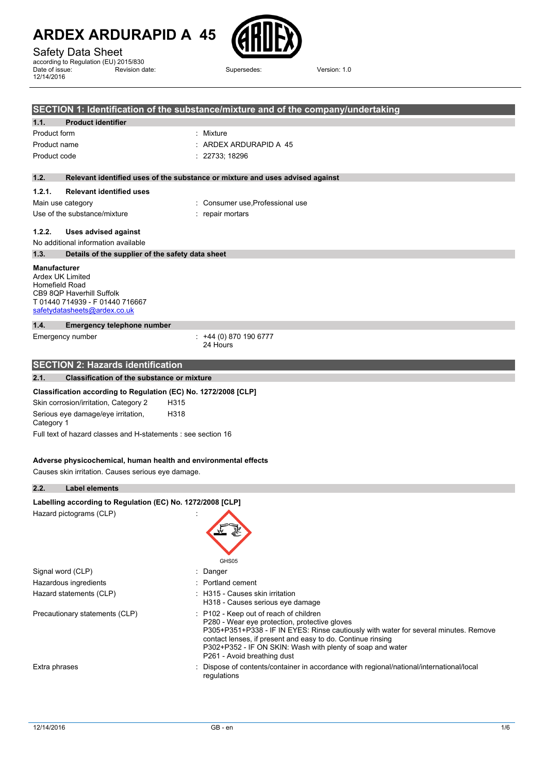### Safety Data Sheet

according to Regulation (EU) 2015/830 Date of issue: 12/14/2016 Revision date: Supersedes: Version: 1.0



| SECTION 1: Identification of the substance/mixture and of the company/undertaking |                                                                                              |                                                                                                                                                                                                                                                                                                                                             |  |  |
|-----------------------------------------------------------------------------------|----------------------------------------------------------------------------------------------|---------------------------------------------------------------------------------------------------------------------------------------------------------------------------------------------------------------------------------------------------------------------------------------------------------------------------------------------|--|--|
| 1.1.                                                                              | <b>Product identifier</b>                                                                    |                                                                                                                                                                                                                                                                                                                                             |  |  |
| Product form                                                                      |                                                                                              | : Mixture                                                                                                                                                                                                                                                                                                                                   |  |  |
| Product name                                                                      |                                                                                              | ARDEX ARDURAPID A 45                                                                                                                                                                                                                                                                                                                        |  |  |
| Product code                                                                      |                                                                                              | 22733; 18296                                                                                                                                                                                                                                                                                                                                |  |  |
| 1.2.                                                                              |                                                                                              | Relevant identified uses of the substance or mixture and uses advised against                                                                                                                                                                                                                                                               |  |  |
| 1.2.1.                                                                            | <b>Relevant identified uses</b>                                                              |                                                                                                                                                                                                                                                                                                                                             |  |  |
|                                                                                   | Main use category                                                                            | Consumer use Professional use                                                                                                                                                                                                                                                                                                               |  |  |
|                                                                                   | Use of the substance/mixture                                                                 | repair mortars                                                                                                                                                                                                                                                                                                                              |  |  |
| 1.2.2.                                                                            | <b>Uses advised against</b>                                                                  |                                                                                                                                                                                                                                                                                                                                             |  |  |
|                                                                                   | No additional information available                                                          |                                                                                                                                                                                                                                                                                                                                             |  |  |
| 1.3.                                                                              | Details of the supplier of the safety data sheet                                             |                                                                                                                                                                                                                                                                                                                                             |  |  |
| <b>Manufacturer</b><br>Ardex UK Limited<br>Homefield Road                         | CB9 8QP Haverhill Suffolk<br>T 01440 714939 - F 01440 716667<br>safetydatasheets@ardex.co.uk |                                                                                                                                                                                                                                                                                                                                             |  |  |
| 1.4.                                                                              | <b>Emergency telephone number</b>                                                            |                                                                                                                                                                                                                                                                                                                                             |  |  |
|                                                                                   | Emergency number                                                                             | $: +44(0)8701906777$<br>24 Hours                                                                                                                                                                                                                                                                                                            |  |  |
|                                                                                   | <b>SECTION 2: Hazards identification</b>                                                     |                                                                                                                                                                                                                                                                                                                                             |  |  |
| 2.1.                                                                              | <b>Classification of the substance or mixture</b>                                            |                                                                                                                                                                                                                                                                                                                                             |  |  |
|                                                                                   | Classification according to Regulation (EC) No. 1272/2008 [CLP]                              |                                                                                                                                                                                                                                                                                                                                             |  |  |
|                                                                                   | Skin corrosion/irritation, Category 2                                                        | H315                                                                                                                                                                                                                                                                                                                                        |  |  |
|                                                                                   | Serious eye damage/eye irritation,<br>H318<br>Category 1                                     |                                                                                                                                                                                                                                                                                                                                             |  |  |
|                                                                                   | Full text of hazard classes and H-statements : see section 16                                |                                                                                                                                                                                                                                                                                                                                             |  |  |
|                                                                                   | Adverse physicochemical, human health and environmental effects                              |                                                                                                                                                                                                                                                                                                                                             |  |  |
|                                                                                   | Causes skin irritation. Causes serious eye damage.                                           |                                                                                                                                                                                                                                                                                                                                             |  |  |
| 2.2.                                                                              | <b>Label elements</b>                                                                        |                                                                                                                                                                                                                                                                                                                                             |  |  |
|                                                                                   | Labelling according to Regulation (EC) No. 1272/2008 [CLP]                                   |                                                                                                                                                                                                                                                                                                                                             |  |  |
|                                                                                   | Hazard pictograms (CLP)                                                                      | GHS05                                                                                                                                                                                                                                                                                                                                       |  |  |
|                                                                                   | Signal word (CLP)                                                                            | : Danger                                                                                                                                                                                                                                                                                                                                    |  |  |
|                                                                                   | Hazardous ingredients                                                                        | Portland cement                                                                                                                                                                                                                                                                                                                             |  |  |
|                                                                                   | Hazard statements (CLP)                                                                      | : H315 - Causes skin irritation<br>H318 - Causes serious eye damage                                                                                                                                                                                                                                                                         |  |  |
|                                                                                   | Precautionary statements (CLP)                                                               | : P102 - Keep out of reach of children<br>P280 - Wear eye protection, protective gloves<br>P305+P351+P338 - IF IN EYES: Rinse cautiously with water for several minutes. Remove<br>contact lenses, if present and easy to do. Continue rinsing<br>P302+P352 - IF ON SKIN: Wash with plenty of soap and water<br>P261 - Avoid breathing dust |  |  |
| Extra phrases                                                                     |                                                                                              | Dispose of contents/container in accordance with regional/national/international/local<br>regulations                                                                                                                                                                                                                                       |  |  |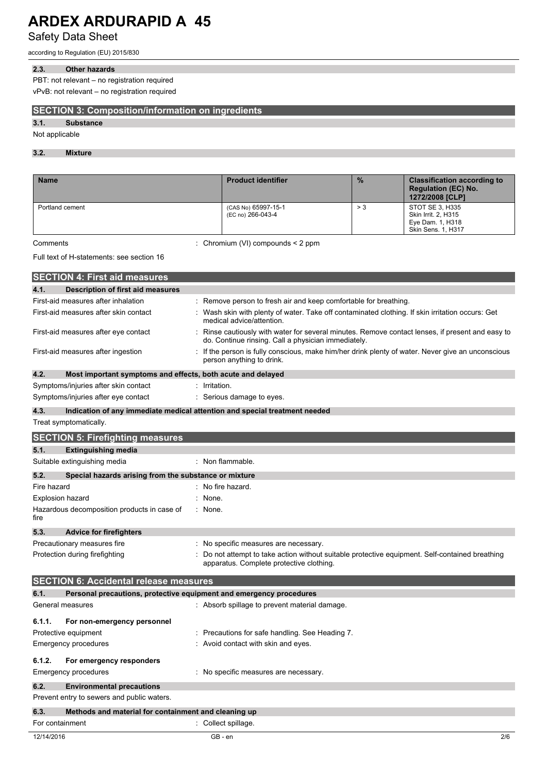Safety Data Sheet

according to Regulation (EU) 2015/830

#### **2.3. Other hazards**

PBT: not relevant – no registration required

vPvB: not relevant – no registration required

#### **SECTION 3: Composition/information on ingredients**

#### **3.1. Substance**

Not applicable

#### **3.2. Mixture**

| <b>Name</b>     | <b>Product identifier</b>                | $\frac{9}{6}$ | <b>Classification according to</b><br><b>Regulation (EC) No.</b><br>1272/2008 [CLP]     |
|-----------------|------------------------------------------|---------------|-----------------------------------------------------------------------------------------|
| Portland cement | (CAS No) 65997-15-1<br>(EC no) 266-043-4 | > 3           | STOT SE 3, H335<br>Skin Irrit. 2, H315<br>Eye Dam. 1, H318<br><b>Skin Sens. 1, H317</b> |

Comments : Chromium (VI) compounds < 2 ppm

#### Full text of H-statements: see section 16

|                         | <b>SECTION 4: First aid measures</b>                                |                                                                                                                                                       |
|-------------------------|---------------------------------------------------------------------|-------------------------------------------------------------------------------------------------------------------------------------------------------|
| 4.1.                    | <b>Description of first aid measures</b>                            |                                                                                                                                                       |
|                         | First-aid measures after inhalation                                 | Remove person to fresh air and keep comfortable for breathing.                                                                                        |
|                         | First-aid measures after skin contact                               | Wash skin with plenty of water. Take off contaminated clothing. If skin irritation occurs: Get<br>medical advice/attention.                           |
|                         | First-aid measures after eye contact                                | Rinse cautiously with water for several minutes. Remove contact lenses, if present and easy to<br>do. Continue rinsing. Call a physician immediately. |
|                         | First-aid measures after ingestion                                  | If the person is fully conscious, make him/her drink plenty of water. Never give an unconscious<br>person anything to drink.                          |
| 4.2.                    | Most important symptoms and effects, both acute and delayed         |                                                                                                                                                       |
|                         | Symptoms/injuries after skin contact                                | Irritation.                                                                                                                                           |
|                         | Symptoms/injuries after eye contact                                 | Serious damage to eyes.                                                                                                                               |
| 4.3.                    |                                                                     | Indication of any immediate medical attention and special treatment needed                                                                            |
|                         | Treat symptomatically.                                              |                                                                                                                                                       |
|                         | <b>SECTION 5: Firefighting measures</b>                             |                                                                                                                                                       |
| 5.1.                    | <b>Extinguishing media</b>                                          |                                                                                                                                                       |
|                         | Suitable extinguishing media                                        | : Non flammable.                                                                                                                                      |
| 5.2.                    | Special hazards arising from the substance or mixture               |                                                                                                                                                       |
| Fire hazard             |                                                                     | No fire hazard.                                                                                                                                       |
| <b>Explosion hazard</b> |                                                                     | None.                                                                                                                                                 |
| fire                    | Hazardous decomposition products in case of                         | : None.                                                                                                                                               |
| 5.3.                    | <b>Advice for firefighters</b>                                      |                                                                                                                                                       |
|                         | Precautionary measures fire                                         | : No specific measures are necessary.                                                                                                                 |
|                         | Protection during firefighting                                      | Do not attempt to take action without suitable protective equipment. Self-contained breathing<br>apparatus. Complete protective clothing.             |
|                         | <b>SECTION 6: Accidental release measures</b>                       |                                                                                                                                                       |
| 6.1.                    | Personal precautions, protective equipment and emergency procedures |                                                                                                                                                       |
|                         | General measures                                                    | : Absorb spillage to prevent material damage.                                                                                                         |
| 6.1.1.                  | For non-emergency personnel                                         |                                                                                                                                                       |
|                         | Protective equipment                                                | Precautions for safe handling. See Heading 7.                                                                                                         |
|                         | <b>Emergency procedures</b>                                         | Avoid contact with skin and eyes.                                                                                                                     |
| 6.1.2.                  | For emergency responders                                            |                                                                                                                                                       |

### Emergency procedures **in the case of the Contract Contract Contract Contract Contract Contract Contract Contract Contract Contract Contract Contract Contract Contract Contract Contract Contract Contract Contract Contract C**

**6.2. Environmental precautions**

Prevent entry to sewers and public waters.

#### **6.3. Methods and material for containment and cleaning up**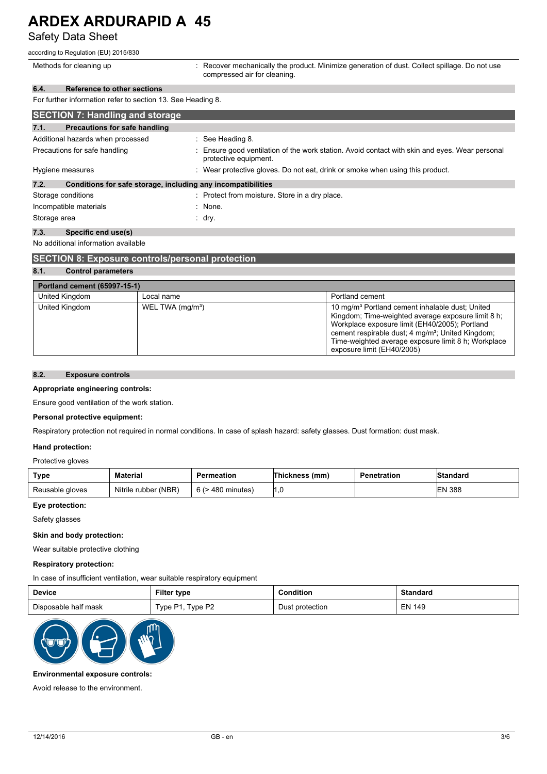### Safety Data Sheet

according to Regulation (EU) 2015/830

| Methods for cleaning up                                              | : Recover mechanically the product. Minimize generation of dust. Collect spillage. Do not use<br>compressed air for cleaning. |  |  |
|----------------------------------------------------------------------|-------------------------------------------------------------------------------------------------------------------------------|--|--|
| Reference to other sections<br>6.4.                                  |                                                                                                                               |  |  |
| For further information refer to section 13. See Heading 8.          |                                                                                                                               |  |  |
| <b>SECTION 7: Handling and storage</b>                               |                                                                                                                               |  |  |
| Precautions for safe handling<br>7.1.                                |                                                                                                                               |  |  |
| Additional hazards when processed                                    | $\therefore$ See Heading 8.                                                                                                   |  |  |
| Precautions for safe handling                                        | : Ensure good ventilation of the work station. Avoid contact with skin and eyes. Wear personal<br>protective equipment.       |  |  |
| Hygiene measures                                                     | : Wear protective gloves. Do not eat, drink or smoke when using this product.                                                 |  |  |
| 7.2.<br>Conditions for safe storage, including any incompatibilities |                                                                                                                               |  |  |
| Storage conditions                                                   | : Protect from moisture. Store in a dry place.                                                                                |  |  |
| Incompatible materials                                               | : None.                                                                                                                       |  |  |
| Storage area                                                         | ∶ dry.                                                                                                                        |  |  |

#### **7.3. Specific end use(s)**

No additional information available

| <b>SECTION 8: Exposure controls/personal protection</b> |                              |                                                                                                                                                                                                                                                                                                                           |  |  |  |  |
|---------------------------------------------------------|------------------------------|---------------------------------------------------------------------------------------------------------------------------------------------------------------------------------------------------------------------------------------------------------------------------------------------------------------------------|--|--|--|--|
| 8.1.<br><b>Control parameters</b>                       |                              |                                                                                                                                                                                                                                                                                                                           |  |  |  |  |
|                                                         | Portland cement (65997-15-1) |                                                                                                                                                                                                                                                                                                                           |  |  |  |  |
| United Kingdom<br>Portland cement<br>Local name         |                              |                                                                                                                                                                                                                                                                                                                           |  |  |  |  |
| United Kingdom                                          | WEL TWA (mg/m <sup>3</sup> ) | 10 mg/m <sup>3</sup> Portland cement inhalable dust; United<br>Kingdom; Time-weighted average exposure limit 8 h;<br>Workplace exposure limit (EH40/2005); Portland<br>cement respirable dust; 4 mg/m <sup>3</sup> ; United Kingdom;<br>Time-weighted average exposure limit 8 h; Workplace<br>exposure limit (EH40/2005) |  |  |  |  |

#### **8.2. Exposure controls**

#### **Appropriate engineering controls:**

Ensure good ventilation of the work station.

#### **Personal protective equipment:**

Respiratory protection not required in normal conditions. In case of splash hazard: safety glasses. Dust formation: dust mask.

#### **Hand protection:**

Protective gloves

| <b>Type</b>     | Material             | Permeation        | Thickness (mm) | Penetration | <b>Standard</b> |
|-----------------|----------------------|-------------------|----------------|-------------|-----------------|
| Reusable gloves | Nitrile rubber (NBR) | 6 (> 480 minutes) | I.C            |             | <b>EN 388</b>   |

#### **Eye protection:**

Safety glasses

#### **Skin and body protection:**

Wear suitable protective clothing

#### **Respiratory protection:**

#### In case of insufficient ventilation, wear suitable respiratory equipment

| Device               | Filter type                     | onditior        | Standard            |
|----------------------|---------------------------------|-----------------|---------------------|
| Disposable half mask | i vpe P <sub>2</sub><br>Type P1 | Dust protection | 149<br>ΞN<br>$\sim$ |



#### **Environmental exposure controls:**

Avoid release to the environment.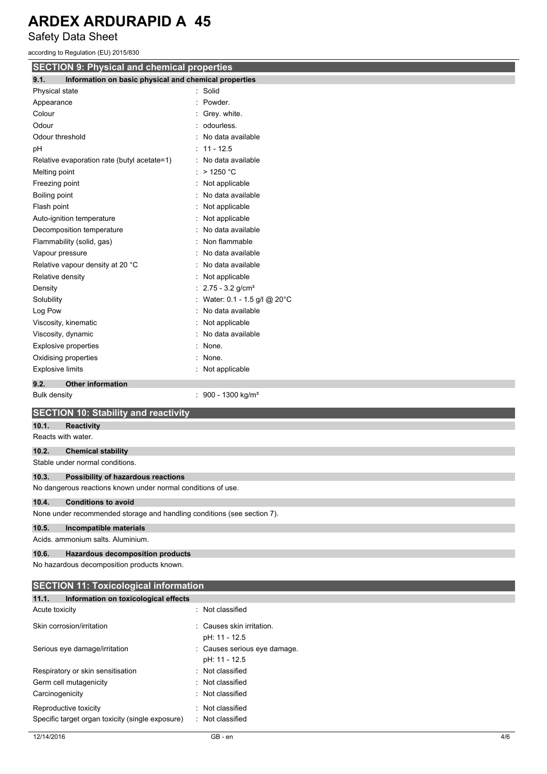Safety Data Sheet

according to Regulation (EU) 2015/830

| <b>SECTION 9: Physical and chemical properties</b>                      |                                          |  |  |
|-------------------------------------------------------------------------|------------------------------------------|--|--|
| Information on basic physical and chemical properties<br>9.1.           |                                          |  |  |
| Physical state                                                          | : Solid                                  |  |  |
| Appearance                                                              | Powder.                                  |  |  |
| Colour                                                                  | Grey. white.                             |  |  |
| Odour                                                                   | odourless.                               |  |  |
| Odour threshold                                                         | No data available                        |  |  |
| рH                                                                      | $11 - 12.5$                              |  |  |
| Relative evaporation rate (butyl acetate=1)                             | No data available                        |  |  |
| Melting point                                                           | $>$ 1250 °C                              |  |  |
| Freezing point                                                          | Not applicable<br>÷                      |  |  |
| Boiling point                                                           | No data available                        |  |  |
| Flash point                                                             | Not applicable                           |  |  |
| Auto-ignition temperature                                               | Not applicable                           |  |  |
| Decomposition temperature                                               | No data available                        |  |  |
| Flammability (solid, gas)                                               | Non flammable                            |  |  |
| Vapour pressure                                                         | No data available                        |  |  |
| Relative vapour density at 20 °C                                        | No data available                        |  |  |
| Relative density                                                        | Not applicable                           |  |  |
| Density                                                                 | $2.75 - 3.2$ g/cm <sup>3</sup>           |  |  |
| Solubility                                                              | Water: 0.1 - 1.5 g/l @ 20°C              |  |  |
| Log Pow                                                                 | No data available                        |  |  |
| Viscosity, kinematic                                                    | Not applicable                           |  |  |
| Viscosity, dynamic                                                      | No data available                        |  |  |
| <b>Explosive properties</b>                                             | None.                                    |  |  |
| Oxidising properties                                                    | None.                                    |  |  |
| <b>Explosive limits</b>                                                 | Not applicable                           |  |  |
| 9.2.<br><b>Other information</b>                                        |                                          |  |  |
| <b>Bulk density</b>                                                     | 900 - 1300 kg/m <sup>3</sup><br>÷        |  |  |
|                                                                         |                                          |  |  |
| <b>SECTION 10: Stability and reactivity</b>                             |                                          |  |  |
| 10.1.<br><b>Reactivity</b>                                              |                                          |  |  |
| Reacts with water.                                                      |                                          |  |  |
| 10.2.<br><b>Chemical stability</b>                                      |                                          |  |  |
| Stable under normal conditions.                                         |                                          |  |  |
| 10.3.<br>Possibility of hazardous reactions                             |                                          |  |  |
| No dangerous reactions known under normal conditions of use.            |                                          |  |  |
| 10.4.<br><b>Conditions to avoid</b>                                     |                                          |  |  |
| None under recommended storage and handling conditions (see section 7). |                                          |  |  |
| 10.5.<br>Incompatible materials                                         |                                          |  |  |
| Acids. ammonium salts. Aluminium.                                       |                                          |  |  |
|                                                                         |                                          |  |  |
| 10.6.<br><b>Hazardous decomposition products</b>                        |                                          |  |  |
| No hazardous decomposition products known.                              |                                          |  |  |
| <b>SECTION 11: Toxicological information</b>                            |                                          |  |  |
| 11.1.<br>Information on toxicological effects                           |                                          |  |  |
|                                                                         |                                          |  |  |
| Acute toxicity                                                          | Not classified                           |  |  |
|                                                                         |                                          |  |  |
| Skin corrosion/irritation                                               | Causes skin irritation.<br>pH: 11 - 12.5 |  |  |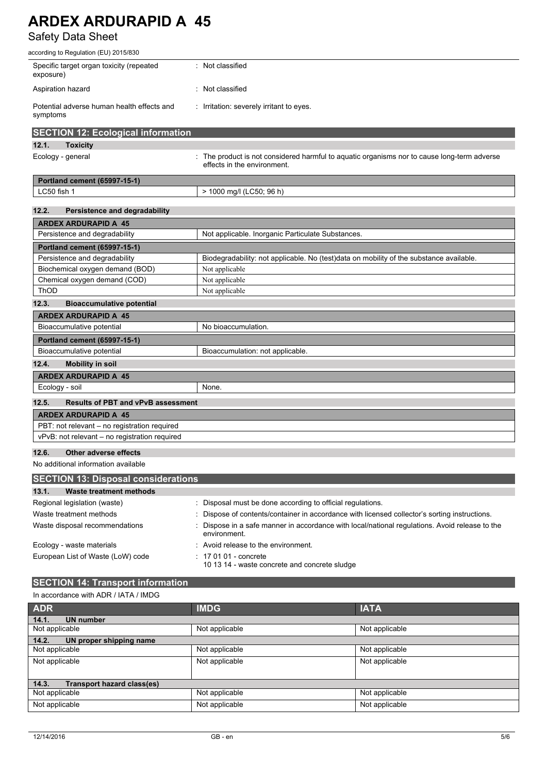### Safety Data Sheet

| according to Regulation (EU) 2015/830                  |                                                                                                                            |  |  |  |
|--------------------------------------------------------|----------------------------------------------------------------------------------------------------------------------------|--|--|--|
| Specific target organ toxicity (repeated<br>exposure)  | : Not classified                                                                                                           |  |  |  |
| Aspiration hazard                                      | Not classified                                                                                                             |  |  |  |
| Potential adverse human health effects and<br>symptoms | : Irritation: severely irritant to eyes.                                                                                   |  |  |  |
| <b>SECTION 12: Ecological information</b>              |                                                                                                                            |  |  |  |
| 12.1.<br><b>Toxicity</b>                               |                                                                                                                            |  |  |  |
| Ecology - general                                      | : The product is not considered harmful to aquatic organisms nor to cause long-term adverse<br>effects in the environment. |  |  |  |
| Portland cement (65997-15-1)                           |                                                                                                                            |  |  |  |
| LC50 fish 1                                            | > 1000 mg/l (LC50; 96 h)                                                                                                   |  |  |  |
|                                                        |                                                                                                                            |  |  |  |
| 12.2.<br>Persistence and degradability                 |                                                                                                                            |  |  |  |
| <b>ARDEX ARDURAPID A 45</b>                            |                                                                                                                            |  |  |  |
| Persistence and degradability                          | Not applicable. Inorganic Particulate Substances.                                                                          |  |  |  |
| <b>Portland cement (65997-15-1)</b>                    |                                                                                                                            |  |  |  |
| Persistence and degradability                          | Biodegradability: not applicable. No (test)data on mobility of the substance available.                                    |  |  |  |
| Biochemical oxygen demand (BOD)                        | Not applicable                                                                                                             |  |  |  |
| Chemical oxygen demand (COD)                           | Not applicable                                                                                                             |  |  |  |
| ThOD                                                   | Not applicable                                                                                                             |  |  |  |
| 12.3.<br><b>Bioaccumulative potential</b>              |                                                                                                                            |  |  |  |
| <b>ARDEX ARDURAPID A 45</b>                            |                                                                                                                            |  |  |  |
| Bioaccumulative potential                              | No bioaccumulation.                                                                                                        |  |  |  |
| <b>Portland cement (65997-15-1)</b>                    |                                                                                                                            |  |  |  |
| Bioaccumulative potential                              | Bioaccumulation: not applicable.                                                                                           |  |  |  |
| 12.4.<br><b>Mobility in soil</b>                       |                                                                                                                            |  |  |  |
| <b>ARDEX ARDURAPID A 45</b>                            |                                                                                                                            |  |  |  |
| Ecology - soil                                         | None.                                                                                                                      |  |  |  |
| 12.5.<br><b>Results of PBT and vPvB assessment</b>     |                                                                                                                            |  |  |  |
| <b>ARDEX ARDURAPID A 45</b>                            |                                                                                                                            |  |  |  |
| PBT: not relevant - no registration required           |                                                                                                                            |  |  |  |
| vPvB: not relevant - no registration required          |                                                                                                                            |  |  |  |
| 12.6.<br>Other adverse effects                         |                                                                                                                            |  |  |  |
|                                                        |                                                                                                                            |  |  |  |

No additional information available

| <b>SECTION 13: Disposal considerations</b> |                                                                                                              |  |  |  |
|--------------------------------------------|--------------------------------------------------------------------------------------------------------------|--|--|--|
| 13.1.<br>Waste treatment methods           |                                                                                                              |  |  |  |
| Regional legislation (waste)               | Disposal must be done according to official regulations.                                                     |  |  |  |
| Waste treatment methods                    | Dispose of contents/container in accordance with licensed collector's sorting instructions.                  |  |  |  |
| Waste disposal recommendations             | Dispose in a safe manner in accordance with local/national regulations. Avoid release to the<br>environment. |  |  |  |
| Ecology - waste materials                  | Avoid release to the environment.                                                                            |  |  |  |
| European List of Waste (LoW) code          | $: 170101$ - concrete<br>10 13 14 - waste concrete and concrete sludge                                       |  |  |  |

## **SECTION 14: Transport information**

| In accordance with ADR / IATA / IMDG       |                |  |  |  |
|--------------------------------------------|----------------|--|--|--|
| <b>IMDG</b>                                | <b>IATA</b>    |  |  |  |
|                                            |                |  |  |  |
| Not applicable                             | Not applicable |  |  |  |
| 14.2.<br>UN proper shipping name           |                |  |  |  |
| Not applicable                             | Not applicable |  |  |  |
| Not applicable                             | Not applicable |  |  |  |
|                                            |                |  |  |  |
| <b>Transport hazard class(es)</b><br>14.3. |                |  |  |  |
| Not applicable                             | Not applicable |  |  |  |
| Not applicable                             | Not applicable |  |  |  |
|                                            |                |  |  |  |